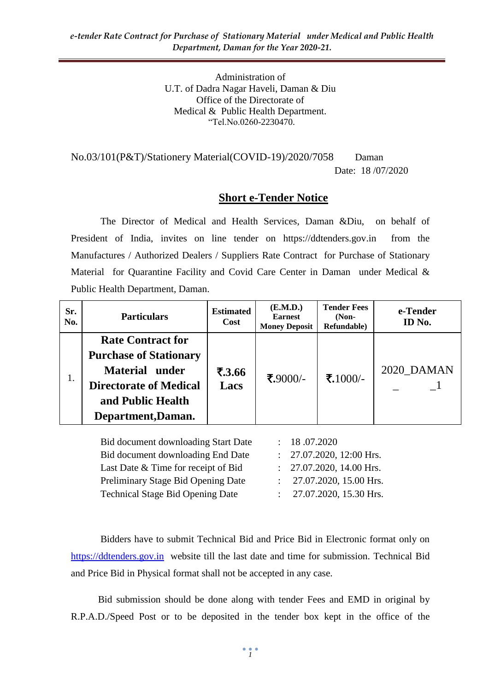Administration of U.T. of Dadra Nagar Haveli, Daman & Diu Office of the Directorate of Medical & Public Health Department. "Tel.No.0260-2230470.

No.03/101(P&T)/Stationery Material(COVID-19)/2020/7058 Daman Date: 18 /07/2020

#### **Short e-Tender Notice**

The Director of Medical and Health Services, Daman &Diu, on behalf of President of India, invites on line tender on https://ddtenders.gov.in from the Manufactures / Authorized Dealers / Suppliers Rate Contract for Purchase of Stationary Material for Quarantine Facility and Covid Care Center in Daman under Medical & Public Health Department, Daman.

| Sr.<br>No. | <b>Particulars</b>                                                                                                                                             | <b>Estimated</b><br><b>Cost</b> | (E.M.D.)<br><b>Earnest</b><br><b>Money Deposit</b> | <b>Tender Fees</b><br>$(Non-$<br>Refundable) | e-Tender<br>ID No. |
|------------|----------------------------------------------------------------------------------------------------------------------------------------------------------------|---------------------------------|----------------------------------------------------|----------------------------------------------|--------------------|
| 1.         | <b>Rate Contract for</b><br><b>Purchase of Stationary</b><br><b>Material under</b><br><b>Directorate of Medical</b><br>and Public Health<br>Department, Daman. | ₹.3.66<br>Lacs                  | ₹.9000/-                                           | ₹.1000/-                                     | 2020 DAMAN         |
|            | Bid document downloading Start Date                                                                                                                            |                                 | 18.07.2020                                         |                                              |                    |

Bid document downloading End Date : 27.07.2020, 12:00 Hrs. Last Date & Time for receipt of Bid : 27.07.2020, 14.00 Hrs. Preliminary Stage Bid Opening Date : 27.07.2020, 15.00 Hrs. Technical Stage Bid Opening Date : 27.07.2020, 15.30 Hrs.

Bidders have to submit Technical Bid and Price Bid in Electronic format only on [https://ddtenders.gov.in](https://ddtenders.gov.in/nicgep/app) website till the last date and time for submission. Technical Bid and Price Bid in Physical format shall not be accepted in any case.

 Bid submission should be done along with tender Fees and EMD in original by R.P.A.D./Speed Post or to be deposited in the tender box kept in the office of the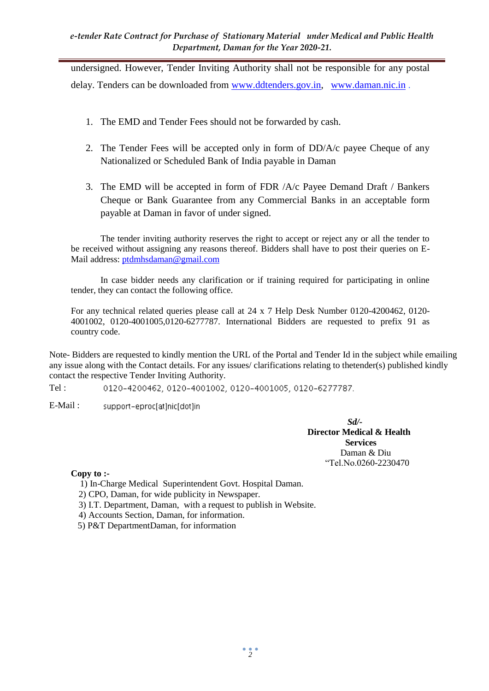undersigned. However, Tender Inviting Authority shall not be responsible for any postal delay. Tenders can be downloaded from [www.ddtenders.gov.in,](http://www.ddtenders.gov.in/) [www.daman.nic.in](http://www.daman.nic.in/) .

- 1. The EMD and Tender Fees should not be forwarded by cash.
- 2. The Tender Fees will be accepted only in form of DD/A/c payee Cheque of any Nationalized or Scheduled Bank of India payable in Daman
- 3. The EMD will be accepted in form of FDR /A/c Payee Demand Draft / Bankers Cheque or Bank Guarantee from any Commercial Banks in an acceptable form payable at Daman in favor of under signed.

The tender inviting authority reserves the right to accept or reject any or all the tender to be received without assigning any reasons thereof. Bidders shall have to post their queries on E-Mail address: [ptdmhsdaman@gmail.com](mailto:ptdmhsdaman@gmail.com)

In case bidder needs any clarification or if training required for participating in online tender, they can contact the following office.

For any technical related queries please call at 24 x 7 Help Desk Number 0120-4200462, 0120- 4001002, 0120-4001005,0120-6277787. International Bidders are requested to prefix 91 as country code.

Note- Bidders are requested to kindly mention the URL of the Portal and Tender Id in the subject while emailing any issue along with the Contact details. For any issues/ clarifications relating to thetender(s) published kindly contact the respective Tender Inviting Authority.

Tel : 0120-4200462, 0120-4001002, 0120-4001005, 0120-6277787.

E-Mail : support-eproc[at]nic[dot]in

> *Sd/-* **Director Medical & Health Services**  Daman & Diu "Tel.No.0260-2230470

**Copy to :-**

1) In-Charge Medical Superintendent Govt. Hospital Daman.

2) CPO, Daman, for wide publicity in Newspaper.

3) I.T. Department, Daman, with a request to publish in Website.

4) Accounts Section, Daman, for information.

5) P&T DepartmentDaman, for information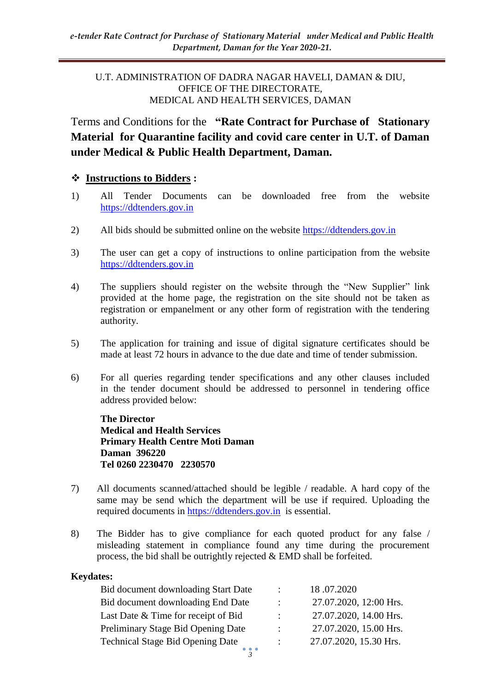#### U.T. ADMINISTRATION OF DADRA NAGAR HAVELI, DAMAN & DIU, OFFICE OF THE DIRECTORATE, MEDICAL AND HEALTH SERVICES, DAMAN

Terms and Conditions for the **"Rate Contract for Purchase of Stationary Material for Quarantine facility and covid care center in U.T. of Daman under Medical & Public Health Department, Daman.**

#### **Instructions to Bidders :**

- 1) All Tender Documents can be downloaded free from the website [https://ddtenders.gov.in](https://ddtenders.gov.in/nicgep/app)
- 2) All bids should be submitted online on the website [https://ddtenders.gov.in](https://ddtenders.gov.in/)
- 3) The user can get a copy of instructions to online participation from the website [https://ddtenders.gov.in](https://ddtenders.gov.in/)
- 4) The suppliers should register on the website through the "New Supplier" link provided at the home page, the registration on the site should not be taken as registration or empanelment or any other form of registration with the tendering authority.
- 5) The application for training and issue of digital signature certificates should be made at least 72 hours in advance to the due date and time of tender submission.
- 6) For all queries regarding tender specifications and any other clauses included in the tender document should be addressed to personnel in tendering office address provided below:

**The Director Medical and Health Services Primary Health Centre Moti Daman Daman 396220 Tel 0260 2230470 2230570**

- 7) All documents scanned/attached should be legible / readable. A hard copy of the same may be send which the department will be use if required. Uploading the required documents in [https://ddtenders.gov.in](https://ddtenders.gov.in/nicgep/app) is essential.
- 8) The Bidder has to give compliance for each quoted product for any false / misleading statement in compliance found any time during the procurement process, the bid shall be outrightly rejected & EMD shall be forfeited.

#### **Keydates:**

| Bid document downloading Start Date     |           | 18.07.2020             |  |  |
|-----------------------------------------|-----------|------------------------|--|--|
| Bid document downloading End Date       | ٠.        | 27.07.2020, 12:00 Hrs. |  |  |
| Last Date & Time for receipt of Bid     | ٠.        | 27.07.2020, 14.00 Hrs. |  |  |
| Preliminary Stage Bid Opening Date      | ٠         | 27.07.2020, 15.00 Hrs. |  |  |
| <b>Technical Stage Bid Opening Date</b> | $\bullet$ | 27.07.2020, 15.30 Hrs. |  |  |
|                                         |           |                        |  |  |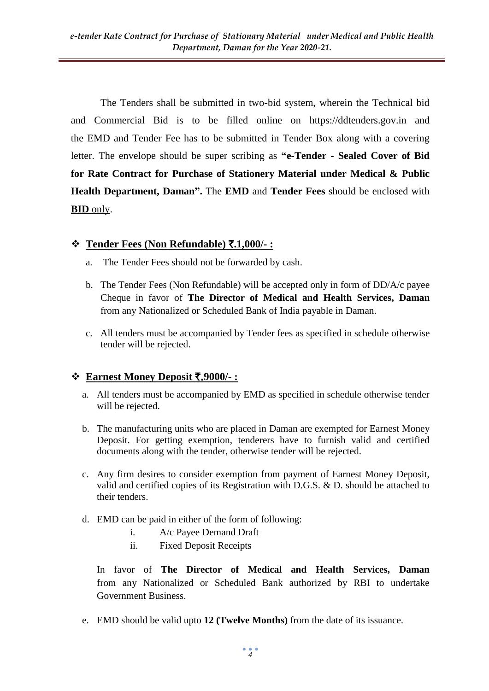The Tenders shall be submitted in two-bid system, wherein the Technical bid and Commercial Bid is to be filled online on https://ddtenders.gov.in and the EMD and Tender Fee has to be submitted in Tender Box along with a covering letter. The envelope should be super scribing as **"e-Tender - Sealed Cover of Bid for Rate Contract for Purchase of Stationery Material under Medical & Public Health Department, Daman".** The **EMD** and **Tender Fees** should be enclosed with **BID** only.

## **Tender Fees (Non Refundable)** `**.1,000/- :**

- a. The Tender Fees should not be forwarded by cash.
- b. The Tender Fees (Non Refundable) will be accepted only in form of DD/A/c payee Cheque in favor of **The Director of Medical and Health Services, Daman**  from any Nationalized or Scheduled Bank of India payable in Daman.
- c. All tenders must be accompanied by Tender fees as specified in schedule otherwise tender will be rejected.

## **Earnest Money Deposit** `.**9000/- :**

- a. All tenders must be accompanied by EMD as specified in schedule otherwise tender will be rejected.
- b. The manufacturing units who are placed in Daman are exempted for Earnest Money Deposit. For getting exemption, tenderers have to furnish valid and certified documents along with the tender, otherwise tender will be rejected.
- c. Any firm desires to consider exemption from payment of Earnest Money Deposit, valid and certified copies of its Registration with D.G.S. & D. should be attached to their tenders.
- d. EMD can be paid in either of the form of following:
	- i. A/c Payee Demand Draft
	- ii. Fixed Deposit Receipts

In favor of **The Director of Medical and Health Services, Daman**  from any Nationalized or Scheduled Bank authorized by RBI to undertake Government Business.

e. EMD should be valid upto **12 (Twelve Months)** from the date of its issuance.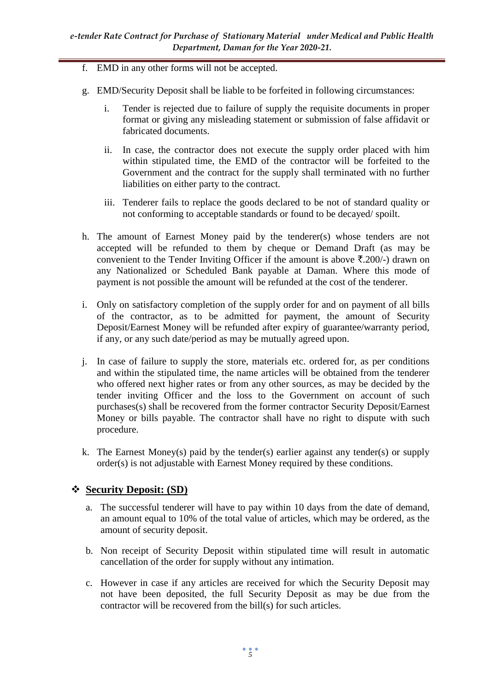- f. EMD in any other forms will not be accepted.
- g. EMD/Security Deposit shall be liable to be forfeited in following circumstances:
	- i. Tender is rejected due to failure of supply the requisite documents in proper format or giving any misleading statement or submission of false affidavit or fabricated documents.
	- ii. In case, the contractor does not execute the supply order placed with him within stipulated time, the EMD of the contractor will be forfeited to the Government and the contract for the supply shall terminated with no further liabilities on either party to the contract.
	- iii. Tenderer fails to replace the goods declared to be not of standard quality or not conforming to acceptable standards or found to be decayed/ spoilt.
- h. The amount of Earnest Money paid by the tenderer(s) whose tenders are not accepted will be refunded to them by cheque or Demand Draft (as may be convenient to the Tender Inviting Officer if the amount is above  $\bar{\tau}$ . 200/-) drawn on any Nationalized or Scheduled Bank payable at Daman. Where this mode of payment is not possible the amount will be refunded at the cost of the tenderer.
- i. Only on satisfactory completion of the supply order for and on payment of all bills of the contractor, as to be admitted for payment, the amount of Security Deposit/Earnest Money will be refunded after expiry of guarantee/warranty period, if any, or any such date/period as may be mutually agreed upon.
- j. In case of failure to supply the store, materials etc. ordered for, as per conditions and within the stipulated time, the name articles will be obtained from the tenderer who offered next higher rates or from any other sources, as may be decided by the tender inviting Officer and the loss to the Government on account of such purchases(s) shall be recovered from the former contractor Security Deposit/Earnest Money or bills payable. The contractor shall have no right to dispute with such procedure.
- k. The Earnest Money(s) paid by the tender(s) earlier against any tender(s) or supply order(s) is not adjustable with Earnest Money required by these conditions.

#### **Security Deposit: (SD)**

- a. The successful tenderer will have to pay within 10 days from the date of demand, an amount equal to 10% of the total value of articles, which may be ordered, as the amount of security deposit.
- b. Non receipt of Security Deposit within stipulated time will result in automatic cancellation of the order for supply without any intimation.
- c. However in case if any articles are received for which the Security Deposit may not have been deposited, the full Security Deposit as may be due from the contractor will be recovered from the bill(s) for such articles.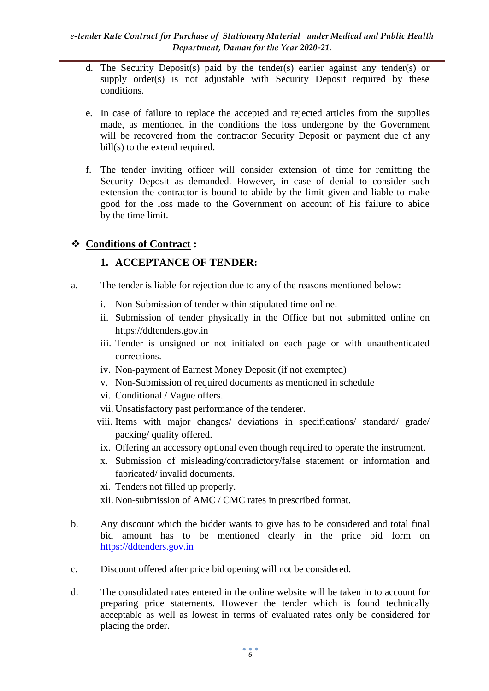- d. The Security Deposit(s) paid by the tender(s) earlier against any tender(s) or supply order(s) is not adjustable with Security Deposit required by these conditions.
- e. In case of failure to replace the accepted and rejected articles from the supplies made, as mentioned in the conditions the loss undergone by the Government will be recovered from the contractor Security Deposit or payment due of any bill(s) to the extend required.
- f. The tender inviting officer will consider extension of time for remitting the Security Deposit as demanded. However, in case of denial to consider such extension the contractor is bound to abide by the limit given and liable to make good for the loss made to the Government on account of his failure to abide by the time limit.

## **Conditions of Contract :**

## **1. ACCEPTANCE OF TENDER:**

- a. The tender is liable for rejection due to any of the reasons mentioned below:
	- i. Non-Submission of tender within stipulated time online.
	- ii. Submission of tender physically in the Office but not submitted online on https://ddtenders.gov.in
	- iii. Tender is unsigned or not initialed on each page or with unauthenticated corrections.
	- iv. Non-payment of Earnest Money Deposit (if not exempted)
	- v. Non-Submission of required documents as mentioned in schedule
	- vi. Conditional / Vague offers.
	- vii. Unsatisfactory past performance of the tenderer.
	- viii. Items with major changes/ deviations in specifications/ standard/ grade/ packing/ quality offered.
	- ix. Offering an accessory optional even though required to operate the instrument.
	- x. Submission of misleading/contradictory/false statement or information and fabricated/ invalid documents.
	- xi. Tenders not filled up properly.
	- xii. Non-submission of AMC / CMC rates in prescribed format.
- b. Any discount which the bidder wants to give has to be considered and total final bid amount has to be mentioned clearly in the price bid form on [https://ddtenders.gov.in](https://ddtenders.gov.in/)
- c. Discount offered after price bid opening will not be considered.
- d. The consolidated rates entered in the online website will be taken in to account for preparing price statements. However the tender which is found technically acceptable as well as lowest in terms of evaluated rates only be considered for placing the order.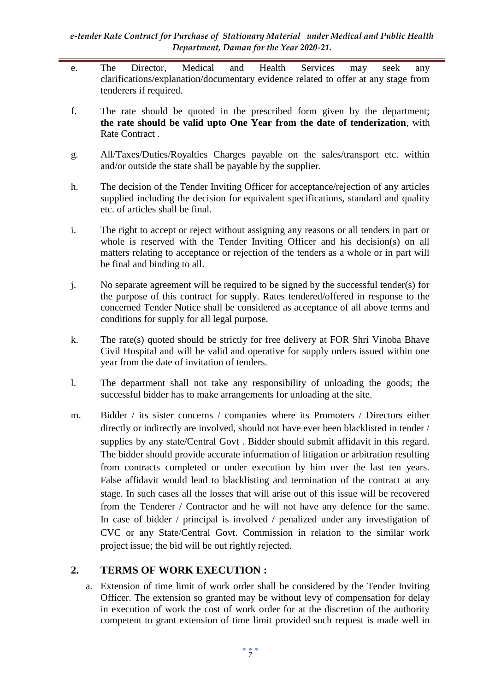- e. The Director, Medical and Health Services may seek any clarifications/explanation/documentary evidence related to offer at any stage from tenderers if required.
- f. The rate should be quoted in the prescribed form given by the department; **the rate should be valid upto One Year from the date of tenderization**, with Rate Contract .
- g. All/Taxes/Duties/Royalties Charges payable on the sales/transport etc. within and/or outside the state shall be payable by the supplier.
- h. The decision of the Tender Inviting Officer for acceptance/rejection of any articles supplied including the decision for equivalent specifications, standard and quality etc. of articles shall be final.
- i. The right to accept or reject without assigning any reasons or all tenders in part or whole is reserved with the Tender Inviting Officer and his decision(s) on all matters relating to acceptance or rejection of the tenders as a whole or in part will be final and binding to all.
- j. No separate agreement will be required to be signed by the successful tender(s) for the purpose of this contract for supply. Rates tendered/offered in response to the concerned Tender Notice shall be considered as acceptance of all above terms and conditions for supply for all legal purpose.
- k. The rate(s) quoted should be strictly for free delivery at FOR Shri Vinoba Bhave Civil Hospital and will be valid and operative for supply orders issued within one year from the date of invitation of tenders.
- l. The department shall not take any responsibility of unloading the goods; the successful bidder has to make arrangements for unloading at the site.
- m. Bidder / its sister concerns / companies where its Promoters / Directors either directly or indirectly are involved, should not have ever been blacklisted in tender / supplies by any state/Central Govt . Bidder should submit affidavit in this regard. The bidder should provide accurate information of litigation or arbitration resulting from contracts completed or under execution by him over the last ten years. False affidavit would lead to blacklisting and termination of the contract at any stage. In such cases all the losses that will arise out of this issue will be recovered from the Tenderer / Contractor and he will not have any defence for the same. In case of bidder / principal is involved / penalized under any investigation of CVC or any State/Central Govt. Commission in relation to the similar work project issue; the bid will be out rightly rejected.

## **2. TERMS OF WORK EXECUTION :**

a. Extension of time limit of work order shall be considered by the Tender Inviting Officer. The extension so granted may be without levy of compensation for delay in execution of work the cost of work order for at the discretion of the authority competent to grant extension of time limit provided such request is made well in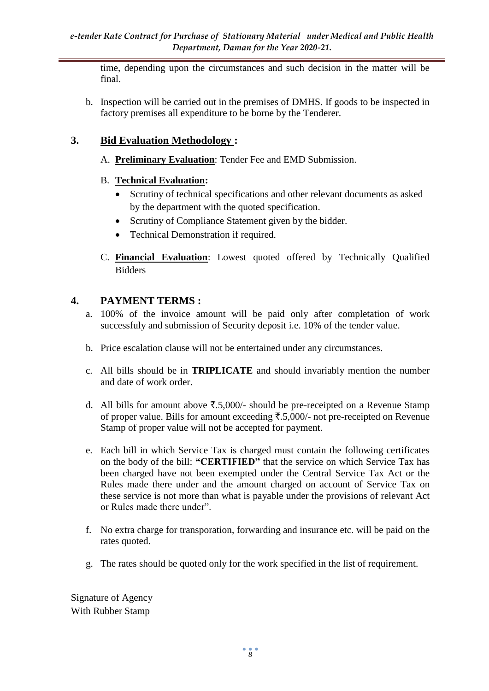time, depending upon the circumstances and such decision in the matter will be final.

b. Inspection will be carried out in the premises of DMHS. If goods to be inspected in factory premises all expenditure to be borne by the Tenderer.

#### **3. Bid Evaluation Methodology :**

- A. **Preliminary Evaluation**: Tender Fee and EMD Submission.
- B. **Technical Evaluation:** 
	- Scrutiny of technical specifications and other relevant documents as asked by the department with the quoted specification.
	- Scrutiny of Compliance Statement given by the bidder.
	- Technical Demonstration if required.
- C. **Financial Evaluation**: Lowest quoted offered by Technically Qualified Bidders

## **4. PAYMENT TERMS :**

- a. 100% of the invoice amount will be paid only after completation of work successfuly and submission of Security deposit i.e. 10% of the tender value.
- b. Price escalation clause will not be entertained under any circumstances.
- c. All bills should be in **TRIPLICATE** and should invariably mention the number and date of work order.
- d. All bills for amount above  $\overline{\mathfrak{F}}.5,000/4$  should be pre-receipted on a Revenue Stamp of proper value. Bills for amount exceeding  $\overline{\xi}$ .5,000/- not pre-receipted on Revenue Stamp of proper value will not be accepted for payment.
- e. Each bill in which Service Tax is charged must contain the following certificates on the body of the bill: **"CERTIFIED"** that the service on which Service Tax has been charged have not been exempted under the Central Service Tax Act or the Rules made there under and the amount charged on account of Service Tax on these service is not more than what is payable under the provisions of relevant Act or Rules made there under".
- f. No extra charge for transporation, forwarding and insurance etc. will be paid on the rates quoted.
- g. The rates should be quoted only for the work specified in the list of requirement.

Signature of Agency With Rubber Stamp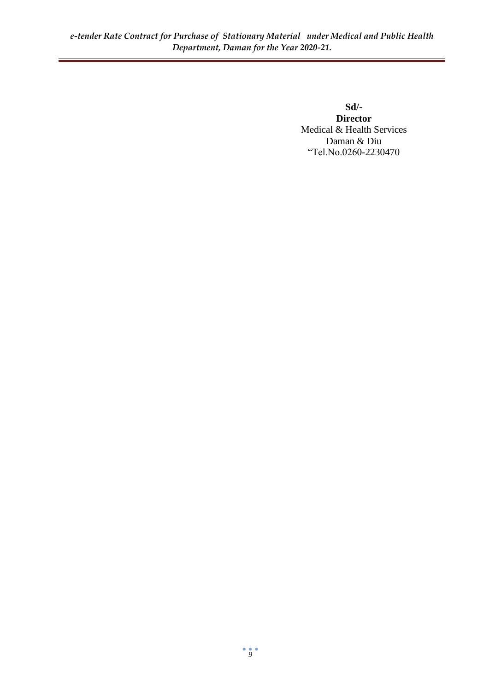**Sd/- Director** Medical & Health Services Daman & Diu "Tel.No.0260-2230470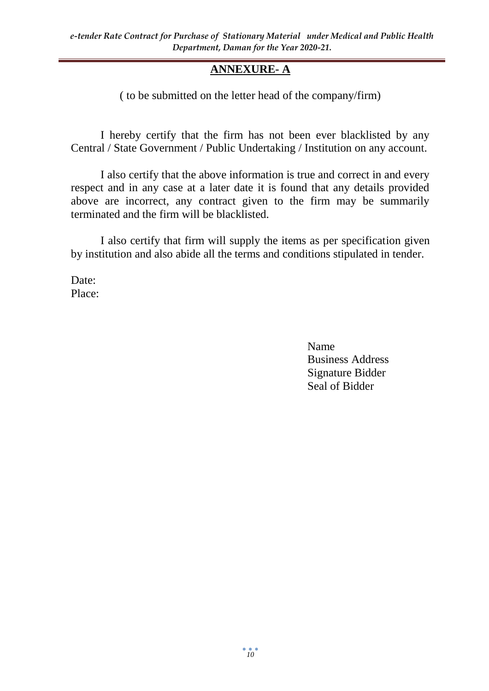# **ANNEXURE- A**

( to be submitted on the letter head of the company/firm)

I hereby certify that the firm has not been ever blacklisted by any Central / State Government / Public Undertaking / Institution on any account.

I also certify that the above information is true and correct in and every respect and in any case at a later date it is found that any details provided above are incorrect, any contract given to the firm may be summarily terminated and the firm will be blacklisted.

I also certify that firm will supply the items as per specification given by institution and also abide all the terms and conditions stipulated in tender.

Date: Place:

> Name Business Address Signature Bidder Seal of Bidder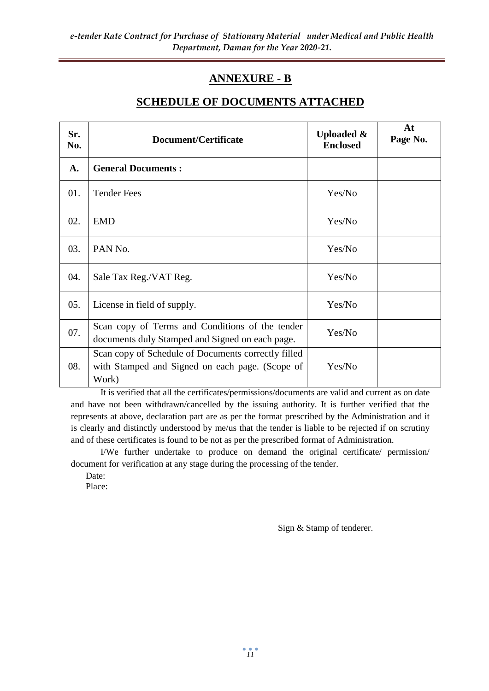# **ANNEXURE - B**

#### **SCHEDULE OF DOCUMENTS ATTACHED**

| Sr.<br>No. | Document/Certificate                                                                                            | <b>Uploaded &amp;</b><br><b>Enclosed</b> | At<br>Page No. |
|------------|-----------------------------------------------------------------------------------------------------------------|------------------------------------------|----------------|
| A.         | <b>General Documents:</b>                                                                                       |                                          |                |
| 01.        | <b>Tender Fees</b>                                                                                              | Yes/No                                   |                |
| 02.        | <b>EMD</b>                                                                                                      | Yes/No                                   |                |
| 03.        | PAN No.                                                                                                         | Yes/No                                   |                |
| 04.        | Sale Tax Reg./VAT Reg.                                                                                          | Yes/No                                   |                |
| 05.        | License in field of supply.                                                                                     | Yes/No                                   |                |
| 07.        | Scan copy of Terms and Conditions of the tender<br>documents duly Stamped and Signed on each page.              | Yes/No                                   |                |
| 08.        | Scan copy of Schedule of Documents correctly filled<br>with Stamped and Signed on each page. (Scope of<br>Work) | Yes/No                                   |                |

It is verified that all the certificates/permissions/documents are valid and current as on date and have not been withdrawn/cancelled by the issuing authority. It is further verified that the represents at above, declaration part are as per the format prescribed by the Administration and it is clearly and distinctly understood by me/us that the tender is liable to be rejected if on scrutiny and of these certificates is found to be not as per the prescribed format of Administration.

I/We further undertake to produce on demand the original certificate/ permission/ document for verification at any stage during the processing of the tender.

Date:

Place:

Sign & Stamp of tenderer.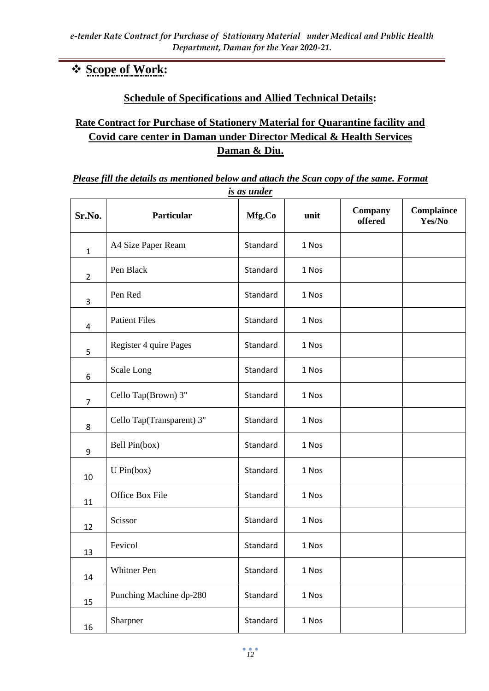# **Scope of Work:**

# **Schedule of Specifications and Allied Technical Details:**

# **Rate Contract for Purchase of Stationery Material for Quarantine facility and Covid care center in Daman under Director Medical & Health Services Daman & Diu.**

#### *Please fill the details as mentioned below and attach the Scan copy of the same. Format is as under*

| Sr.No.         | Particular                | Mfg.Co   | unit  | Company<br>offered | Complaince<br>Yes/No |
|----------------|---------------------------|----------|-------|--------------------|----------------------|
| $\mathbf{1}$   | A4 Size Paper Ream        | Standard | 1 Nos |                    |                      |
| $\overline{2}$ | Pen Black                 | Standard | 1 Nos |                    |                      |
| 3              | Pen Red                   | Standard | 1 Nos |                    |                      |
| $\overline{a}$ | <b>Patient Files</b>      | Standard | 1 Nos |                    |                      |
| 5              | Register 4 quire Pages    | Standard | 1 Nos |                    |                      |
| 6              | Scale Long                | Standard | 1 Nos |                    |                      |
| $\overline{7}$ | Cello Tap(Brown) 3"       | Standard | 1 Nos |                    |                      |
| 8              | Cello Tap(Transparent) 3" | Standard | 1 Nos |                    |                      |
| 9              | Bell Pin(box)             | Standard | 1 Nos |                    |                      |
| 10             | U Pin(box)                | Standard | 1 Nos |                    |                      |
| 11             | Office Box File           | Standard | 1 Nos |                    |                      |
| 12             | Scissor                   | Standard | 1 Nos |                    |                      |
| 13             | Fevicol                   | Standard | 1 Nos |                    |                      |
| 14             | Whitner Pen               | Standard | 1 Nos |                    |                      |
| 15             | Punching Machine dp-280   | Standard | 1 Nos |                    |                      |
| 16             | Sharpner                  | Standard | 1 Nos |                    |                      |